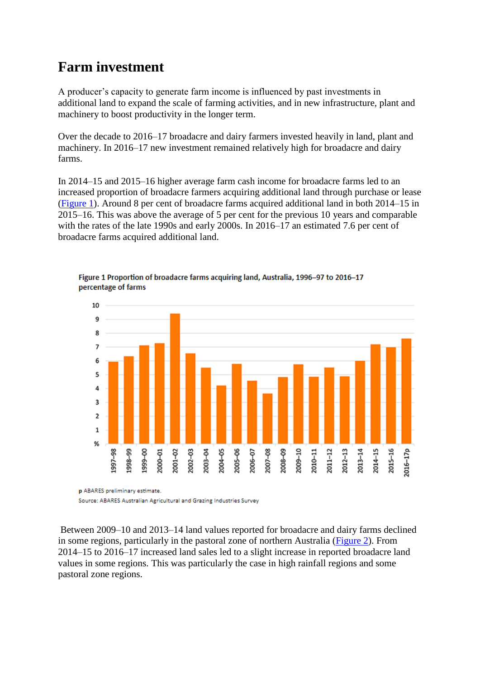## **Farm investment**

A producer's capacity to generate farm income is influenced by past investments in additional land to expand the scale of farming activities, and in new infrastructure, plant and machinery to boost productivity in the longer term.

Over the decade to 2016–17 broadacre and dairy farmers invested heavily in land, plant and machinery. In 2016–17 new investment remained relatively high for broadacre and dairy farms.

In 2014–15 and 2015–16 higher average farm cash income for broadacre farms led to an increased proportion of broadacre farmers acquiring additional land through purchase or lease [\(Figure 1\)](http://www.agriculture.gov.au/abares/research-topics/surveys/investment#figure-1). Around 8 per cent of broadacre farms acquired additional land in both 2014–15 in 2015–16. This was above the average of 5 per cent for the previous 10 years and comparable with the rates of the late 1990s and early 2000s. In 2016–17 an estimated 7.6 per cent of broadacre farms acquired additional land.



Figure 1 Proportion of broadacre farms acquiring land, Australia, 1996-97 to 2016-17 percentage of farms

Source: ABARES Australian Agricultural and Grazing Industries Survey

Between 2009–10 and 2013–14 land values reported for broadacre and dairy farms declined in some regions, particularly in the pastoral zone of northern Australia [\(Figure 2\)](http://www.agriculture.gov.au/abares/research-topics/surveys/investment#figure-2). From 2014–15 to 2016–17 increased land sales led to a slight increase in reported broadacre land values in some regions. This was particularly the case in high rainfall regions and some pastoral zone regions.